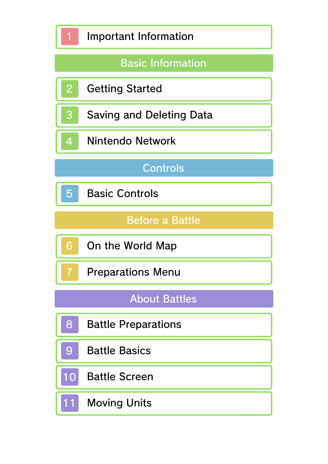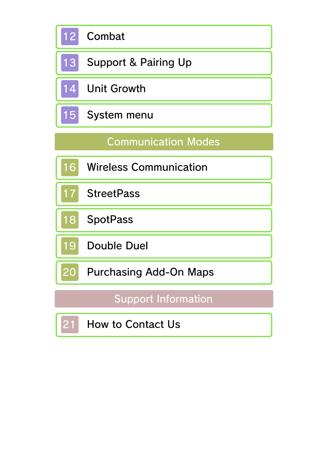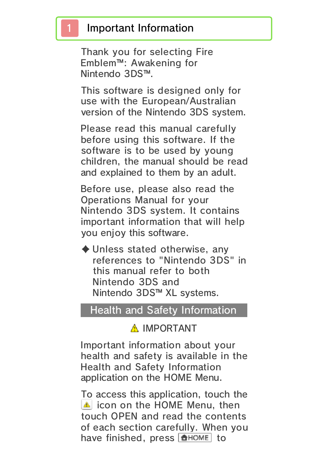#### 1 Important Information

Thank you for selecting Fire Emblem™: Awakening for Nintendo 3DS™.

This software is designed only for use with the European/Australian version of the Nintendo 3DS system.

Please read this manual carefully before using this software. If the software is to be used by young children, the manual should be read and explained to them by an adult.

Before use, please also read the Operations Manual for your Nintendo 3DS system. It contains important information that will help you enjoy this software.

 $\blacklozenge$  Unless stated otherwise, any references to "Nintendo 3DS" in this manual refer to both Nintendo 3DS and Nintendo 3DS™ XL systems.

#### Health and Safety Information

#### A IMPORTANT

Important information about your health and safety is available in the Health and Safety Information application on the HOME Menu.

To access this application, touch the **in i**con on the HOME Menu, then touch OPEN and read the contents of each section carefully. When you have finished, press **ALLANDE** to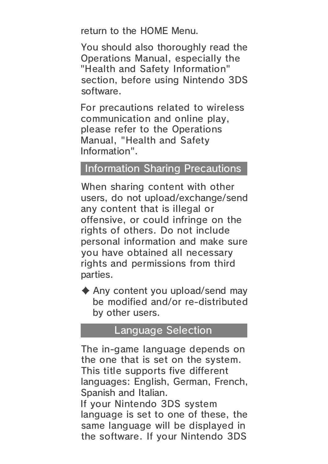return to the HOME Menu.

You should also thoroughly read the Operations Manual, especially the "Health and Safety Information" section, before using Nintendo 3DS software.

For precautions related to wireless communication and online play, please refer to the Operations Manual, "Health and Safety Information".

#### Information Sharing Precautions

When sharing content with other users, do not upload/exchange/send any content that is illegal or offensive, or could infringe on the rights of others. Do not include personal information and make sure you have obtained all necessary rights and permissions from third parties.

 $\triangle$  Any content you upload/send may be modified and/or re-distributed by other users.

#### Language Selection

The in-game language depends on the one that is set on the system. This title supports five different languages: English, German, French, Spanish and Italian. If your Nintendo 3DS system language is set to one of these, the

same language will be displayed in the software. If your Nintendo 3DS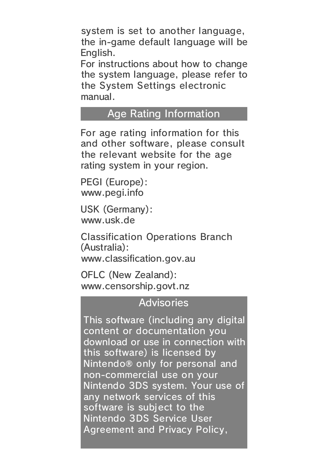system is set to another language, the in-game default language will be English.

For instructions about how to change the system language, please refer to the System Settings electronic manual.

Age Rating Information

For age rating information for this and other software, please consult the relevant website for the age rating system in your region.

www.pegi.info PEGI (Europe):

USK (Germany): www.usk.de

Classification Operations Branch (Australia): www.classification.gov.au

OFLC (New Zealand): www.censorship.govt.nz

#### **Advisories**

This software (including any digital content or documentation you download or use in connection with this software) is licensed by Nintendo® only for personal and non-commercial use on your Nintendo 3DS system. Your use of any network services of this software is subject to the Nintendo 3DS Service User Agreement and Privacy Policy,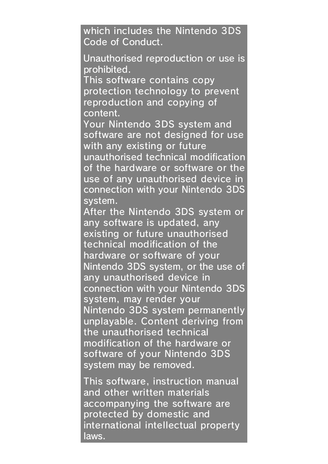which includes the Nintendo 3DS Code of Conduct.

Unauthorised reproduction or use is prohibited.

This software contains copy protection technology to prevent reproduction and copying of content.

Your Nintendo 3DS system and software are not designed for use with any existing or future

unauthorised technical modification of the hardware or software or the use of any unauthorised device in connection with your Nintendo 3DS system.

After the Nintendo 3DS system or any software is updated, any existing or future unauthorised technical modification of the hardware or software of your Nintendo 3DS system, or the use of any unauthorised device in connection with your Nintendo 3DS system, may render your Nintendo 3DS system permanently unplayable. Content deriving from the unauthorised technical modification of the hardware or software of your Nintendo 3DS system may be removed.

This software, instruction manual and other written materials accompanying the software are protected by domestic and international intellectual property laws.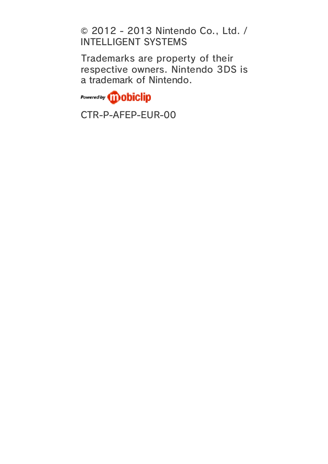© 2012 - 2013 Nintendo Co., Ltd. / INTELLIGENT SYSTEMS

Trademarks are property of their respective owners. Nintendo 3DS is a trademark of Nintendo.

Powered by *ii***D** Obiclip

CTR-P-AFEP-EUR-00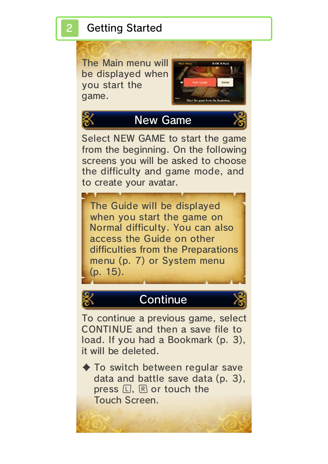#### **Getting Started**

The Main menu w ill be displayed whe n you start th e game .





Select NEW GAME to start the game from the beginning. On the following screens you will be asked to choose the difficulty and game mode, and to create your avatar.

(p. 15). menu (p. 7) or System menu difficulties from the Preparations access the Guide on other Normal difficulty. You can also when you start the game on The Guide will be displayed

# **Continue**

To continue a previous game, select CONTINUE and then a save file to load. If you had a Bookmark (p. 3), it will be deleted.

 $\blacklozenge$  To switch between regular save data and battle save data (p. 3), press  $\mathbb{D}$ ,  $\mathbb{R}$  or touch the Touch Screen.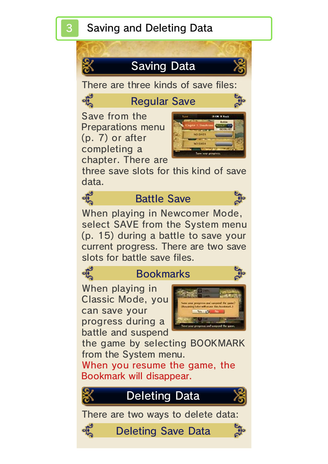# 3 Saving and Deleting Data

# Saving Data

There are three kinds of save files:

#### Regular Save

Save from th e Preparations men u (p. 7) or afte r completing a chapter. There ar e



three save slots for this kind of save data.



#### Battle Save

When playing in Newcomer Mode, select SAVE from the System menu (p. 15) during a battle to save your current progress. There are two save slots for battle save files.



#### Bookmarks

When playing i n Classic Mode, yo u can save you r progress during a battle and suspen d



the game by selecting BOOKMARK from the System menu.

When you resume the game, the Bookmark will disappear.

### Deleting Data

There are two ways to delete data:



Deleting Save Data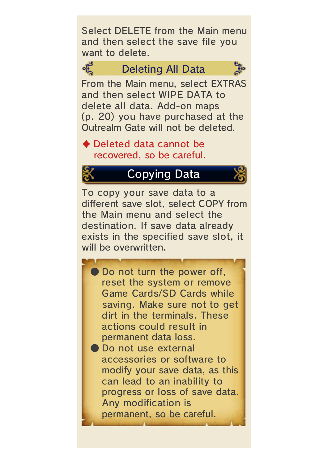Select DELETE from the Main menu and then select the save file you want to delete.



Deleting All Data



From the Main menu, select EXTRAS and then select WIPE DATA to delete all data. Add-on maps (p. 20) you have purchased at the Outrealm Gate will not be deleted.

◆ Deleted data cannot be recovered, so be careful.



To copy your save data to a different save slot, select COPY from the Main menu and select the destination. If save data already exists in the specified save slot, it will be overwritten.

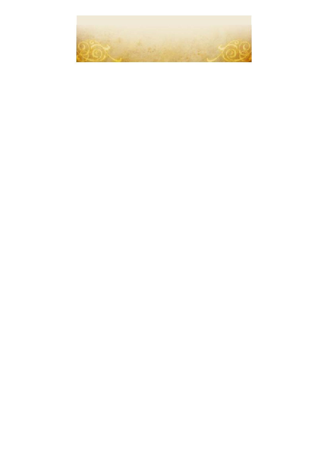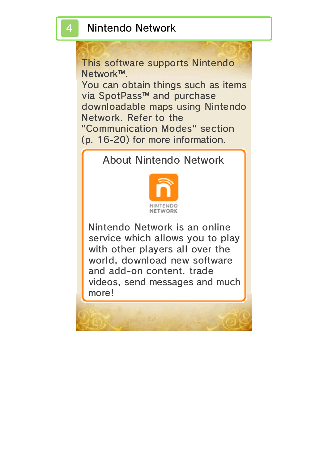#### Nintendo Network

This software supports Nintendo Network™. You can obtain things such as items via SpotPass™ and purchase downloadable maps using Nintendo Network. Refer to the "Communication Modes" section (p. 16-20) for more information.

#### About Nintendo Network



more! videos, send messages and much and add-on content, trade world, download new software with other players all over the service which allows you to play Nintendo Network is an online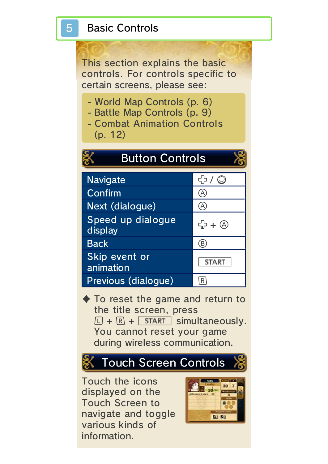This section explains the basic controls. For controls specific to certain screens, please see:

- World Map Controls (p. 6)
- Battle Map Controls (p. 9)
- (p. 12) - Combat Animation Controls



#### Button Controls

| <b>Navigate</b>              |                           |
|------------------------------|---------------------------|
| Confirm                      | Α                         |
| Next (dialogue)              | А                         |
| Speed up dialogue<br>display | $\bigoplus$ + $\bigoplus$ |
| <b>Back</b>                  | B                         |
| Skip event or<br>animation   | <b>START</b>              |
| Previous (dialogue)          |                           |

 $\blacklozenge$  To reset the game and return to the title screen, press  $\square$  +  $\square$  +  $\overline{\phantom{a}}$  strart simultaneously. You cannot reset your game during wireless communication.

# Touch Screen Controls

Touch the icon s displayed on th e Touch Screen t o navigate and toggl e various kinds o f information.

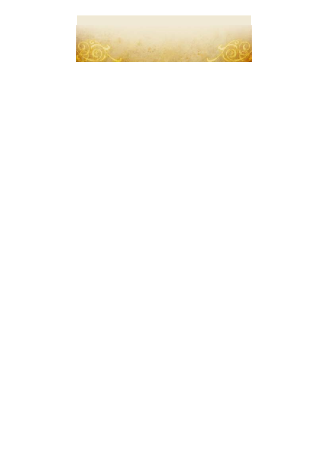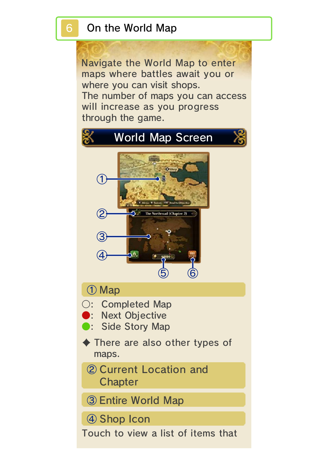Navigate the World Map to enter maps where battles await you or where you can visit shops. The number of maps you can access will increase as you progress through the game.

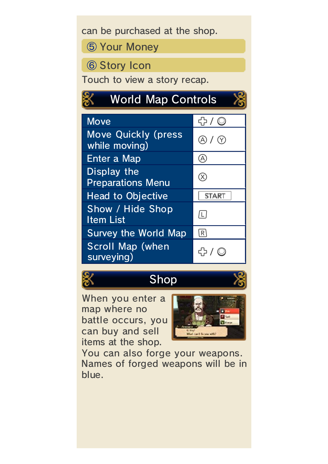can be purchased at the shop.

⑤ Your Money

⑥ Story Icon

Touch to view a story recap.



| <b>Move</b>                                 | ╬ / ©          |
|---------------------------------------------|----------------|
| <b>Move Quickly (press</b><br>while moving) | (A) / (Y)      |
| <b>Enter a Map</b>                          | Α              |
| Display the<br><b>Preparations Menu</b>     |                |
| <b>Head to Objective</b>                    | <b>START</b>   |
| <b>Show / Hide Shop</b><br><b>Item List</b> | /L             |
| <b>Survey the World Map</b>                 | R)             |
| <b>Scroll Map (when</b><br>surveying)       | ረ <u>ን</u> / C |

# Shop

When you enter amap where n o battle occurs, yo u can buy and sel l items at the shop .



You can also forge your weapons. Names of forged weapons will be in blue.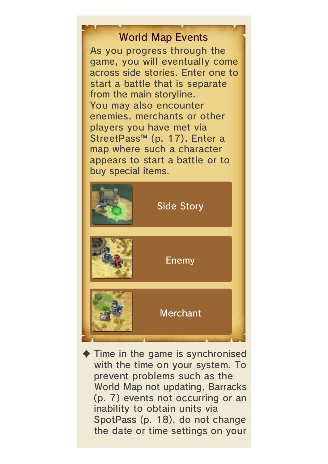#### World Map Events

buy special items. appears to start a battle or to map where such a character StreetPass™ (p. 17). Enter a players you have met via enemies, merchants or other You may also encounter from the main storyline. start a battle that is separate across side stories. Enter one to game, you will eventually come As you progress through the



 $\blacklozenge$  Time in the game is synchronised with the time on your system. To prevent problems such as the World Map not updating, Barracks (p. 7) events not occurring or an inability to obtain units via SpotPass (p. 18), do not change the date or time settings on your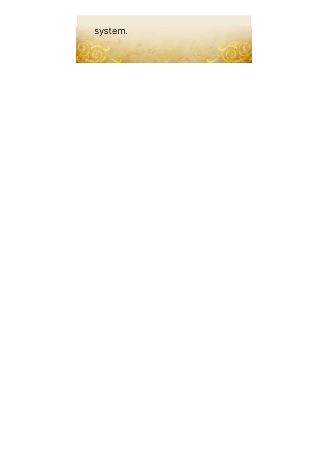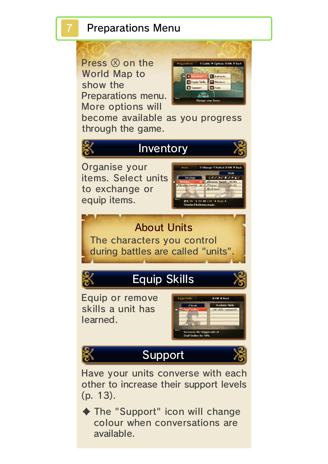#### **Preparations Menu**

Press  $\otimes$  on the World Map t o show th e Preparations menu. More options wil l



become available as you progress through the game.



Organise you r items. Select units to exchange o r equip items.



# About Units

during battles are called "units". The characters you control

# Equip Skills

Equip or remov e skills a unit ha s learned .



# Support

Have your units converse with each other to increase their support levels (p. 13).

♦ The "Support" icon will change colour when conversations are available.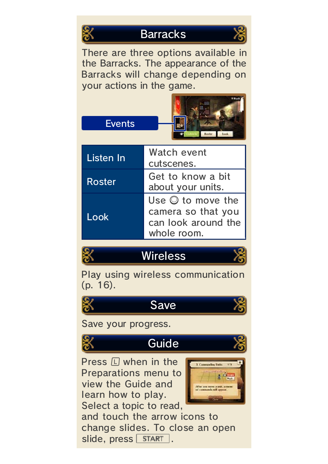# **Barracks**



There are three options available in the Barracks. The appearance of the Barracks will change depending on your actions in the game.

| Events |  |
|--------|--|
|        |  |

| Listen In     | Watch event<br>cutscenes.                                                           |
|---------------|-------------------------------------------------------------------------------------|
| <b>Roster</b> | Get to know a bit<br>about your units.                                              |
| Look          | Use $\odot$ to move the<br>camera so that you<br>can look around the<br>whole room. |

**Wireless** 

Play using wireless communication (p. 16).





Save your progress.

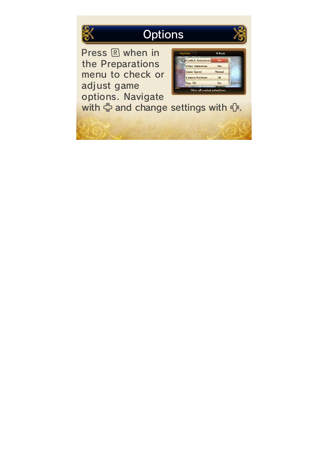

# **Options**

Press **R** when in the Preparation s menu to check o r adjust gam e options. Navigat e



with  $\oplus$  and change settings with  $\oplus$ .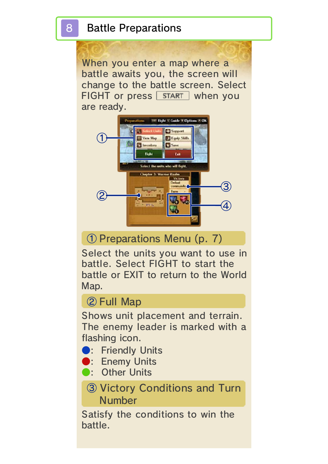When you enter a map where a battle awaits you, the screen will change to the battle screen. Select FIGHT or press <u>START</u> when you are ready.



① Preparations Menu (p. 7)

Select the units you want to use in battle. Select FIGHT to start the battle or EXIT to return to the World Map.

#### ② Full Map

Shows unit placement and terrain. The enemy leader is marked with a flashing icon.

- ●: Friendly Units
- ●: Enemy Units
- **•**: Other Units

Number ③ Victory Conditions and Turn

Satisfy the conditions to win the battle.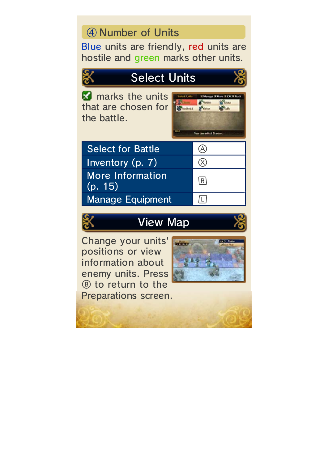Blue units are friendly, red units are hostile and green marks other units. ④ Number of Units

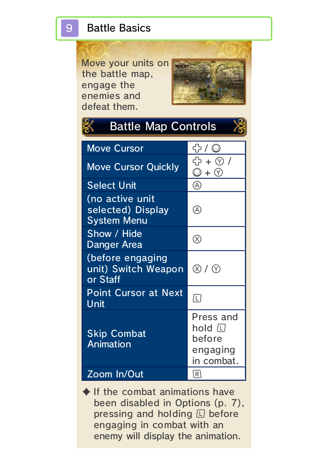#### 9 Battle Basics

Move your units o nthe battle map , engage th e enemies an d defeat them .



| <b>Battle Map Controls</b>                                 |                                                              |
|------------------------------------------------------------|--------------------------------------------------------------|
| <b>Move Cursor</b>                                         | ╬ / ◎                                                        |
| <b>Move Cursor Quickly</b>                                 | G + $\circledcirc$ /<br>$\bigcirc$ + $\heartsuit$            |
| <b>Select Unit</b>                                         | $\circledR$                                                  |
| (no active unit<br>selected) Display<br><b>System Menu</b> | (A)                                                          |
| Show / Hide<br>Danger Area                                 | $(\times)$                                                   |
| (before engaging<br>unit) Switch Weapon<br>or Staff        | $\circledR$ / $\circledR$                                    |
| <b>Point Cursor at Next</b><br>Unit                        | 囗                                                            |
| <b>Skip Combat</b><br>Animation                            | Press and<br>hold $\Box$<br>before<br>engaging<br>in combat. |
| Zoom In/Out                                                | R                                                            |

 $\blacklozenge$  If the combat animations have been disabled in Options (p. 7), pressing and holding  $\Box$  before engaging in combat with an enemy will display the animation.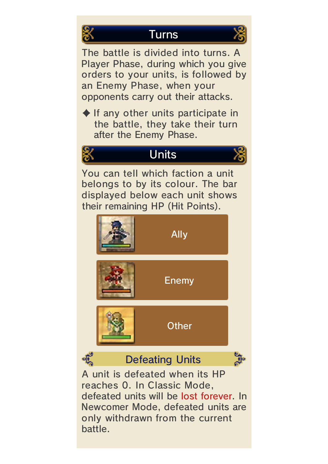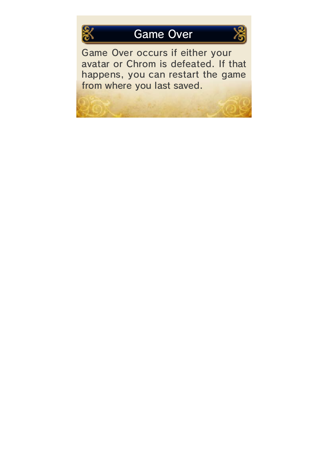

# **Game Over**



Game Over occurs if either your avatar or Chrom is defeated. If that happens, you can restart the game from where you last saved.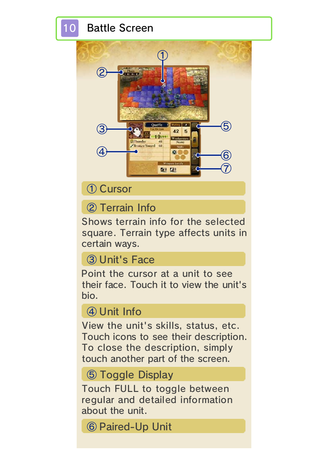10 Battle Screen



① Cursor

#### ② Terrain Info

Shows terrain info for the selected square. Terrain type affects units in certain ways.

#### ③ Unit's Face

Point the cursor at a unit to see their face. Touch it to view the unit's bio.

#### ④ Unit Info

View the unit's skills, status, etc. Touch icons to see their description. To close the description, simply touch another part of the screen.

#### ⑤ Toggle Display

Touch FULL to toggle between regular and detailed information about the unit.

⑥ Paired-Up Unit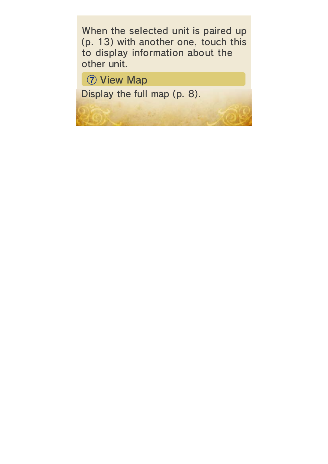When the selected unit is paired up (p. 13) with another one, touch this to display information about the other unit.

⑦ View Map

Display the full map (p. 8).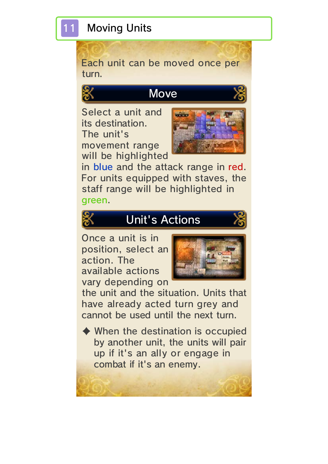## **Moving Units**

Each unit can be moved once per turn.

# **Move**

Select a unit an d its destination . The unit' s movement rang e will be highlighte d



in blue and the attack range in red. For units equipped with staves, the staff range will be highlighted in green.



# Unit's Actions

Once a unit is i n position, select a n action. Th e available action s vary depending o n



the unit and the situation. Units that have already acted turn grey and cannot be used until the next turn.

 $\blacklozenge$  When the destination is occupied by another unit, the units will pair up if it's an ally or engage in combat if it's an enemy.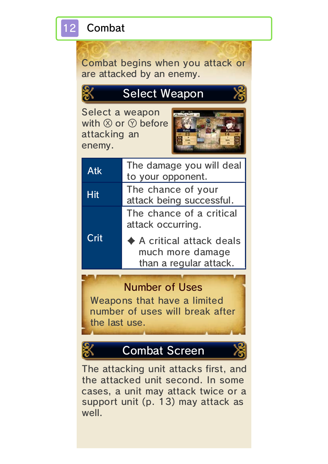

Combat begins when you attack or are attacked by an enemy.

# Select Weapon

Select a weapo n with  $\otimes$  or  $\otimes$  before attacking a n enemy .



| <b>Atk</b> | The damage you will deal<br>to your opponent.                           |
|------------|-------------------------------------------------------------------------|
| Hit        | The chance of your<br>attack being successful.                          |
|            | The chance of a critical<br>attack occurring.                           |
| Crit       | ◆ A critical attack deals<br>much more damage<br>than a regular attack. |

#### Number of Uses

the last use. number of uses will break after Weapons that have a limited

# Combat Screen

The attacking unit attacks first, and the attacked unit second. In some cases, a unit may attack twice or a support unit (p. 13) may attack as well.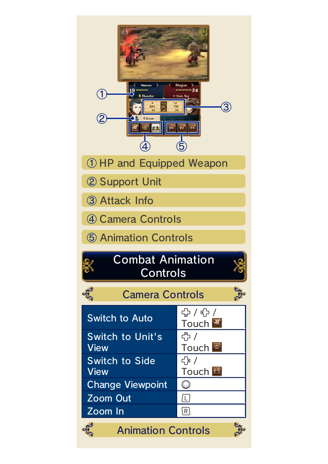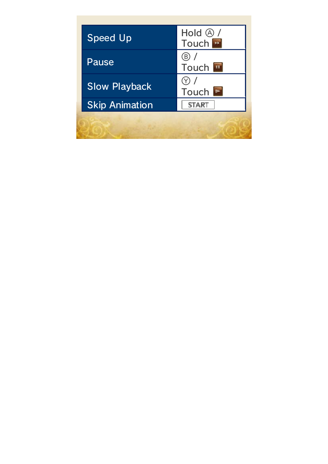| <b>Speed Up</b>       | Hold $\textcircled{A}$ /<br>Touch |
|-----------------------|-----------------------------------|
| Pause                 | (B)<br>Touch <b>u</b>             |
| <b>Slow Playback</b>  | Touch <b>E</b>                    |
| <b>Skip Animation</b> | <b>START</b>                      |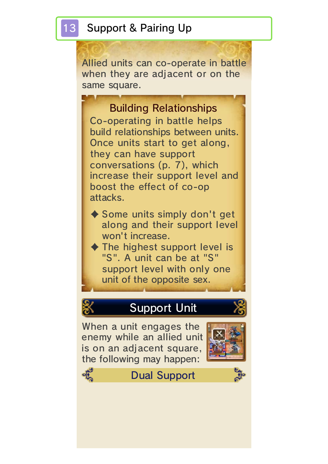Allied units can co-operate in battle when they are adjacent or on the same square.

attacks. boost the effect of co-op increase their support level and conversations (p. 7), which they can have support Once units start to get along, build relationships between units. Co-operating in battle helps Building Relationships

- won't increase. along and their support level ◆ Some units simply don't get
- unit of the opposite sex. support level with only one "S". A unit can be at "S" ♦ The highest support level is

# Support Unit

When a unit engages the enemy while an allied unit is on an adjacent squar e, the following may happen :





Dual Support

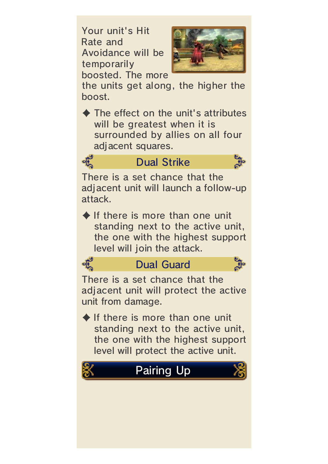Your unit's Hi tRate an d Avoidance will b e temporaril y boosted. The mor e



₩

the units get along, the higher the boost.

 $\triangle$  The effect on the unit's attributes will be greatest when it is surrounded by allies on all four adjacent squares.



There is a set chance that the adjacent unit will launch a follow-up attack.

 $\triangle$  If there is more than one unit standing next to the active unit, the one with the highest support level will join the attack.



#### Dual Guard

There is a set chance that the adjacent unit will protect the active unit from damage.

 $\triangle$  If there is more than one unit standing next to the active unit, the one with the highest support level will protect the active unit.

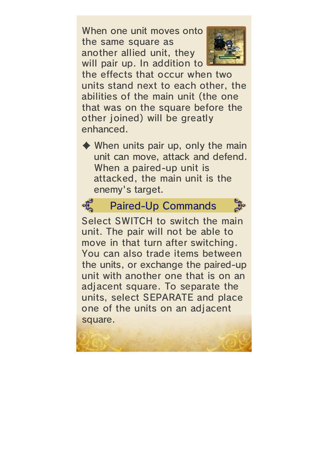When one unit moves onto the same square a s another allied unit, the y will pair up. In addition t o



the effects that occur when two units stand next to each other, the abilities of the main unit (the one that was on the square before the other joined) will be greatly enhanced.

 $\blacklozenge$  When units pair up, only the main unit can move, attack and defend. When a paired-up unit is attacked, the main unit is the enemy's target.

#### 電 Paired-Up Commands

Select SWITCH to switch the main unit. The pair will not be able to move in that turn after switching. You can also trade items between the units, or exchange the paired-up unit with another one that is on an adjacent square. To separate the units, select SEPARATE and place one of the units on an adjacent square.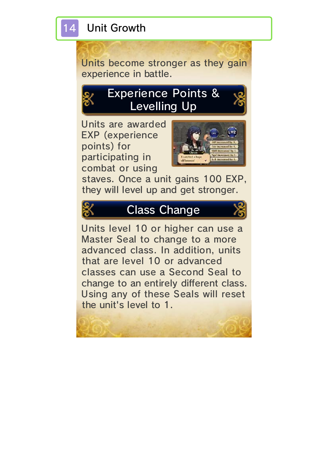# Unit Growth

Units become stronger as they gain experience in battle.

# Levelling Up Experience Points &

Units are awarde d EXP (experienc e points) fo r participating i n combat or usin g



staves. Once a unit gains 100 EXP, they will level up and get stronger.



# Class Change

Units level 10 or higher can use a Master Seal to change to a more advanced class. In addition, units that are level 10 or advanced classes can use a Second Seal to change to an entirely different class. Using any of these Seals will reset the unit's level to 1.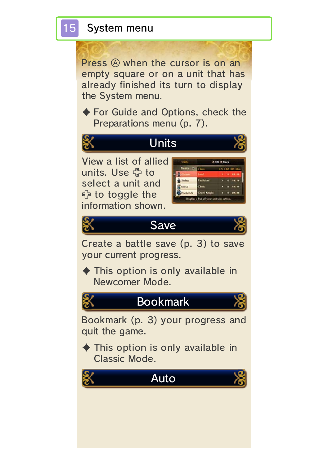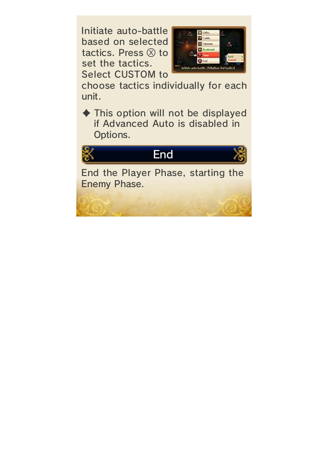Initiate auto-battl ebased on selecte d tactics. Press  $\otimes$  to set the tactics . Select CUSTOM t o



choose tactics individually for each unit.

♦ This option will not be displayed if Advanced Auto is disabled in Options.

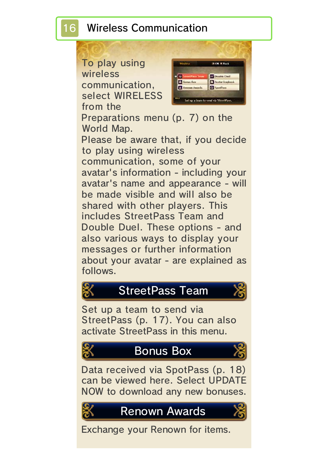#### 16 Wireless Communication

To play usin g wireles s communication , select WIRELES S from th e



Preparations menu (p. 7) on the World Map.

Please be aware that, if you decide to play using wireless communication, some of your avatar's information - including your avatar's name and appearance - will be made visible and will also be shared with other players. This includes StreetPass Team and Double Duel. These options - and also various ways to display your messages or further information about your avatar - are explained as follows.

# StreetPass Team

Set up a team to send via StreetPass (p. 17). You can also activate StreetPass in this menu.

# Bonus Box

Data received via SpotPass (p. 18) can be viewed here. Select UPDATE NOW to download any new bonuses.



Renown Awards

Exchange your Renown for items.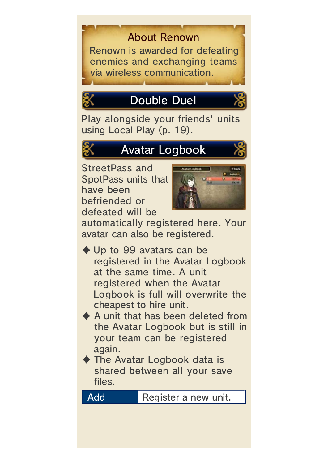## About Renown

via wireless communication. enemies and exchanging teams Renown is awarded for defeating



# Double Duel

Play alongside your friends' units using Local Play (p. 19).



# Avatar Logbook

StreetPass an d SpotPass units th at have bee n befriended o r defeated will b e



automatically registered here. Your avatar can also be registered.

- ◆ Up to 99 avatars can be registered in the Avatar Logbook at the same time. A unit registered when the Avatar Logbook is full will overwrite the cheapest to hire unit.
- $\blacklozenge$  A unit that has been deleted from the Avatar Logbook but is still in your team can be registered again.
- ♦ The Avatar Logbook data is shared between all your save files.

Add Register a new unit.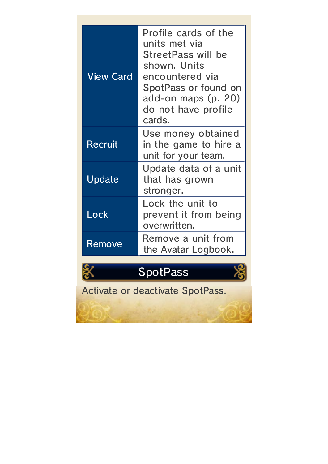| <b>View Card</b>                 | Profile cards of the<br>units met via<br>StreetPass will be<br>shown. Units<br>encountered via<br>SpotPass or found on<br>add-on maps (p. 20)<br>do not have profile<br>cards. |
|----------------------------------|--------------------------------------------------------------------------------------------------------------------------------------------------------------------------------|
| <b>Recruit</b>                   | Use money obtained<br>in the game to hire a<br>unit for your team.                                                                                                             |
| Update                           | Update data of a unit<br>that has grown<br>stronger.                                                                                                                           |
| Lock                             | Lock the unit to<br>prevent it from being<br>overwritten.                                                                                                                      |
| Remove                           | Remove a unit from<br>the Avatar Logbook.                                                                                                                                      |
| SpotPass                         |                                                                                                                                                                                |
| Activate or deactivate SpotPass. |                                                                                                                                                                                |
|                                  |                                                                                                                                                                                |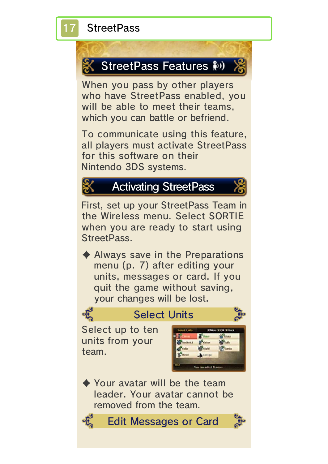**StreetPass** 

# **StreetPass Features (D)**

When you pass by other players who have StreetPass enabled, you will be able to meet their teams, which you can battle or befriend.

To communicate using this feature, all players must activate StreetPass for this software on their Nintendo 3DS systems.



#### Activating StreetPass

First, set up your StreetPass Team in the Wireless menu. Select SORTIE when you are ready to start using StreetPass.

 $\blacklozenge$  Always save in the Preparations menu (p. 7) after editing your units, messages or card. If you quit the game without saving, your changes will be lost.

#### Select Units

Select up to te nunits from you r team .



 $\blacklozenge$  Your avatar will be the team leader. Your avatar cannot be removed from the team.



∘Æ

Edit Messages or Card

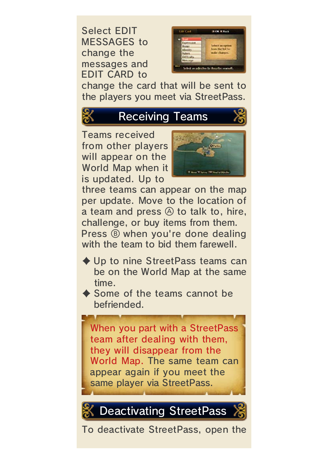Select EDI TMESSAGES t o change th e messages an d EDIT CARD t o



change the card that will be sent to the players you meet via StreetPass.

# Receiving Teams

Teams receive d from other player s will appear on th e World Map when it is updated. Up t o



three teams can appear on the map per update. Move to the location of a team and press  $\circledA$  to talk to, hire, challenge, or buy items from them. Press  $\circled{B}$  when you're done dealing with the team to bid them farewell.

- ◆ Up to nine StreetPass teams can be on the World Map at the same time.
- ♦ Some of the teams cannot be befriended.

same player via StreetPass. appear again if you meet the World Map. The same team can they will disappear from the team after dealing with them, When you part with a StreetPass

# Deactivating StreetPass

To deactivate StreetPass, open the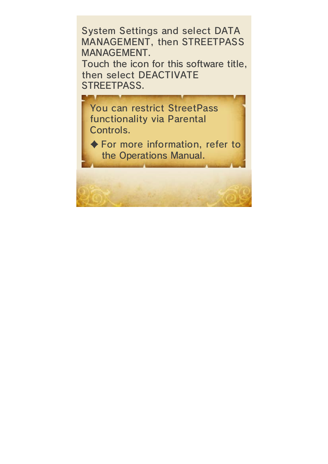System Settings and select DATA MANAGEMENT, then STREETPASS MANAGEMENT.

Touch the icon for this software title, then select DEACTIVATE STREETPASS.

Controls. functionality via Parental You can restrict StreetPass

the Operations Manual. ♦ For more information, refer to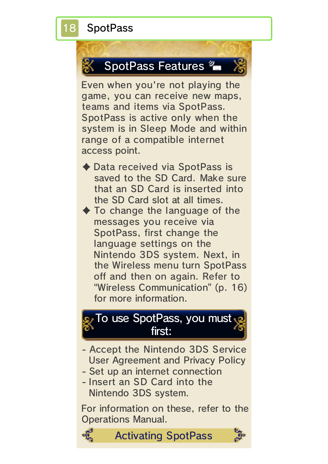# SpotPass Features 2

Even when you're not playing the game, you can receive new maps, teams and items via SpotPass. SpotPass is active only when the system is in Sleep Mode and within range of a compatible internet access point.

- ♦ Data received via SpotPass is saved to the SD Card. Make sure that an SD Card is inserted into the SD Card slot at all times.
- $\blacklozenge$  To change the language of the messages you receive via SpotPass, first change the language settings on the Nintendo 3DS system. Next, in the Wireless menu turn SpotPass off and then on again. Refer to "Wireless Communication" (p. 16) for more information.

#### first: To use SpotPass, you must

- Accept the Nintendo 3DS Service User Agreement and Privacy Policy
- Set up an internet connection
- Insert an SD Card into the Nintendo 3DS system.

For information on these, refer to the Operations Manual.



Activating SpotPass

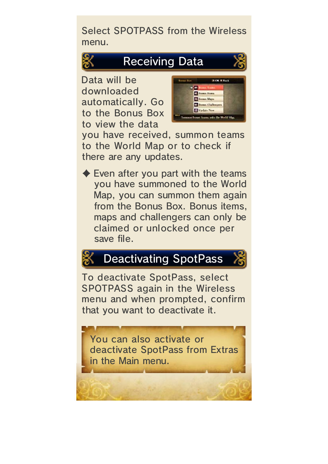Select SPOTPASS from the Wireless menu.



### Receiving Data

Data will b edownloade d automatically. G o to the Bonus Bo x to view the dat a



you have received, summon teams to the World Map or to check if there are any updates.

 $\triangle$  Even after you part with the teams you have summoned to the World Map, you can summon them again from the Bonus Box. Bonus items, maps and challengers can only be claimed or unlocked once per save file.

# Deactivating SpotPass

To deactivate SpotPass, select SPOTPASS again in the Wireless menu and when prompted, confirm that you want to deactivate it.

in the Main menu. deactivate SpotPass from Extras You can also activate or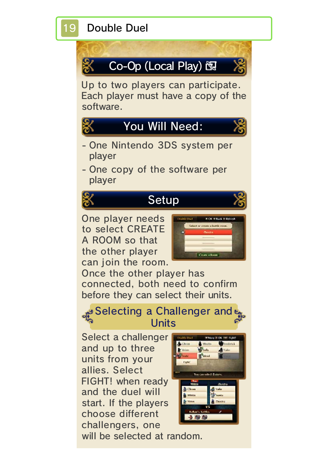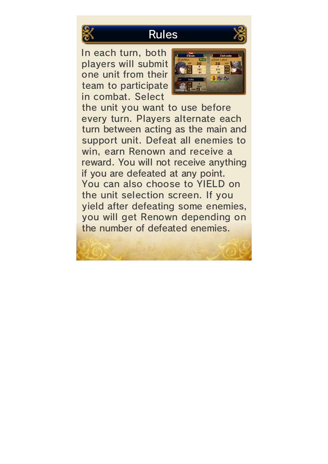

#### Rules

In each turn, bot h players will subm it one unit from the ir team to participat e in combat. Selec t



the unit you want to use before every turn. Players alternate each turn between acting as the main and support unit. Defeat all enemies to win, earn Renown and receive a reward. You will not receive anything if you are defeated at any point. You can also choose to YIELD on the unit selection screen. If you yield after defeating some enemies, you will get Renown depending on the number of defeated enemies.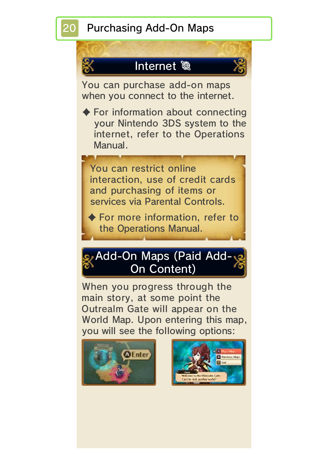

## 20 Purchasing Add-On Maps

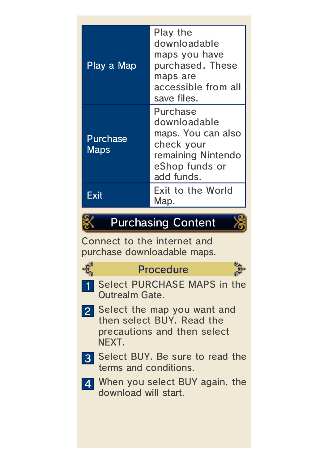| Play a Map              | Play the<br>downloadable<br>maps you have<br>purchased. These<br>maps are<br>accessible from all<br>save files.    |
|-------------------------|--------------------------------------------------------------------------------------------------------------------|
| Purchase<br><b>Maps</b> | Purchase<br>downloadable<br>maps. You can also<br>check your<br>remaining Nintendo<br>eShop funds or<br>add funds. |
| Exit                    | Exit to the World<br>Map.                                                                                          |

Purchasing Content

Connect to the internet and purchase downloadable maps.

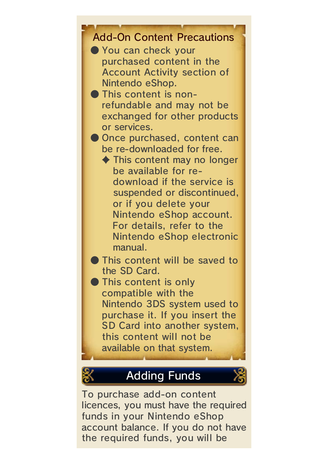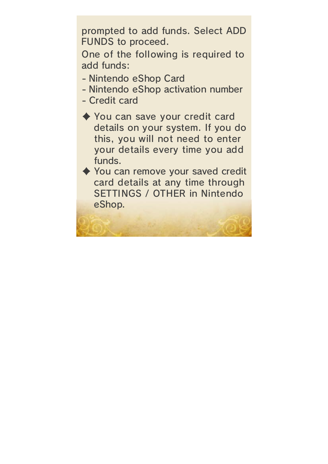prompted to add funds. Select ADD FUNDS to proceed.

One of the following is required to add funds:

- Nintendo eShop Card
- Nintendo eShop activation number
- Credit card
- ♦ You can save your credit card details on your system. If you do this, you will not need to enter your details every time you add funds.
- ◆ You can remove your saved credit card details at any time through SETTINGS / OTHER in Nintendo eShop.